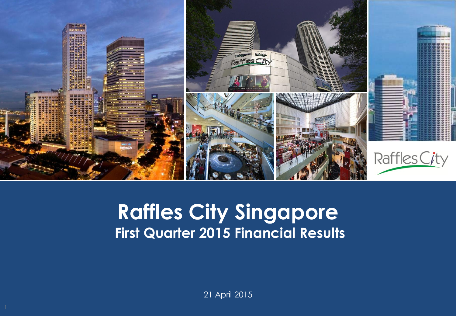

#### **Capital Raffles City Singapore Presentation Presents First Quarter 2015 Financial Results**

21 April 2015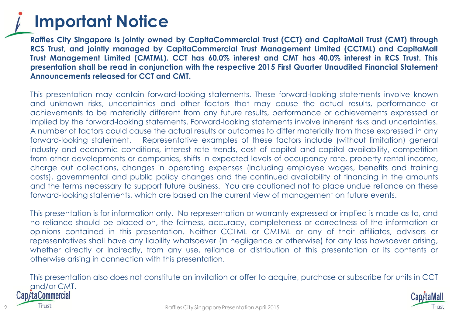#### **Important Notice**

**Raffles City Singapore is jointly owned by CapitaCommercial Trust (CCT) and CapitaMall Trust (CMT) through RCS Trust, and jointly managed by CapitaCommercial Trust Management Limited (CCTML) and CapitaMall Trust Management Limited (CMTML). CCT has 60.0% interest and CMT has 40.0% interest in RCS Trust. This presentation shall be read in conjunction with the respective 2015 First Quarter Unaudited Financial Statement Announcements released for CCT and CMT.**

This presentation may contain forward-looking statements. These forward-looking statements involve known and unknown risks, uncertainties and other factors that may cause the actual results, performance or achievements to be materially different from any future results, performance or achievements expressed or implied by the forward-looking statements. Forward-looking statements involve inherent risks and uncertainties. A number of factors could cause the actual results or outcomes to differ materially from those expressed in any forward-looking statement. Representative examples of these factors include (without limitation) general industry and economic conditions, interest rate trends, cost of capital and capital availability, competition from other developments or companies, shifts in expected levels of occupancy rate, property rental income, charge out collections, changes in operating expenses (including employee wages, benefits and training costs), governmental and public policy changes and the continued availability of financing in the amounts and the terms necessary to support future business. You are cautioned not to place undue reliance on these forward-looking statements, which are based on the current view of management on future events.

This presentation is for information only. No representation or warranty expressed or implied is made as to, and no reliance should be placed on, the fairness, accuracy, completeness or correctness of the information or opinions contained in this presentation. Neither CCTML or CMTML or any of their affiliates, advisers or representatives shall have any liability whatsoever (in negligence or otherwise) for any loss howsoever arising, whether directly or indirectly, from any use, reliance or distribution of this presentation or its contents or otherwise arising in connection with this presentation.

This presentation also does not constitute an invitation or offer to acquire, purchase or subscribe for units in CCT and/or CMT. Cap/taCommercial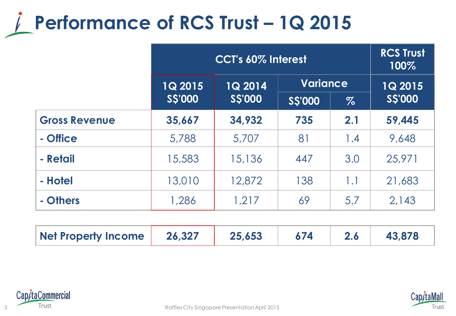## **Performance of RCS Trust – 1Q 2015**

|                      | CCT's 60% Interest |                |               |                 | <b>RCS Trust</b><br>100% |
|----------------------|--------------------|----------------|---------------|-----------------|--------------------------|
|                      | <b>1Q 2015</b>     | <b>1Q 2014</b> |               | <b>Variance</b> |                          |
|                      | <b>SS'000</b>      | <b>SS'000</b>  | <b>SS'000</b> | $\%$            | S\$'000                  |
| <b>Gross Revenue</b> | 35,667             | 34,932         | 735           | 2.1             | 59,445                   |
| - Office             | 5,788              | 5,707          | 81            | 1.4             | 9,648                    |
| - Retail             | 15,583             | 15,136         | 447           | 3.0             | 25,971                   |
| - Hotel              | 13,010             | 12,872         | 138           | 1.1             | 21,683                   |
| - Others             | 1,286              | 1,217          | 69            | 5.7             | 2,143                    |

| Net Property Income | 26,327 | 25.653 |  |  | 43.878 |
|---------------------|--------|--------|--|--|--------|
|---------------------|--------|--------|--|--|--------|



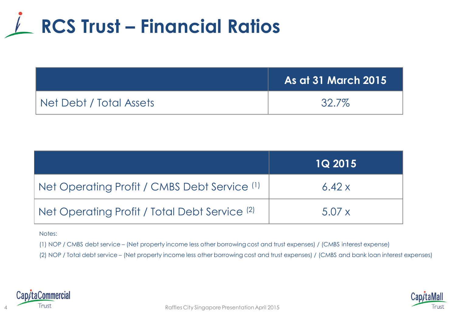

|                         | <b>As at 31 March 2015</b> |
|-------------------------|----------------------------|
| Net Debt / Total Assets | 32.7%                      |

|                                                          | <b>1Q 2015</b> |
|----------------------------------------------------------|----------------|
| Net Operating Profit / CMBS Debt Service (1)             | 6.42x          |
| Net Operating Profit / Total Debt Service <sup>(2)</sup> | 5.07 x         |

#### Notes:

(1) NOP / CMBS debt service – (Net property income less other borrowing cost and trust expenses) / (CMBS interest expense)

(2) NOP / Total debt service – (Net property income less other borrowing cost and trust expenses) / (CMBS and bank loan interest expenses)



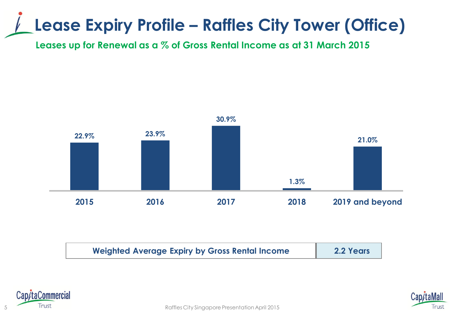### **Lease Expiry Profile – Raffles City Tower (Office)**

**Leases up for Renewal as a % of Gross Rental Income as at 31 March 2015**



| <b>Weighted Average Expiry by Gross Rental Income</b> | 2.2 Years |
|-------------------------------------------------------|-----------|
|                                                       |           |



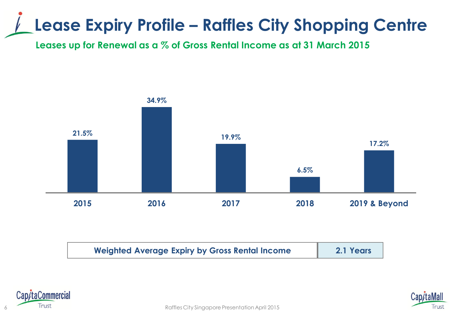### **Lease Expiry Profile – Raffles City Shopping Centre**

**Leases up for Renewal as a % of Gross Rental Income as at 31 March 2015**



| <b>Weighted Average Expiry by Gross Rental Income</b> | 2.1 Years |
|-------------------------------------------------------|-----------|
|                                                       |           |